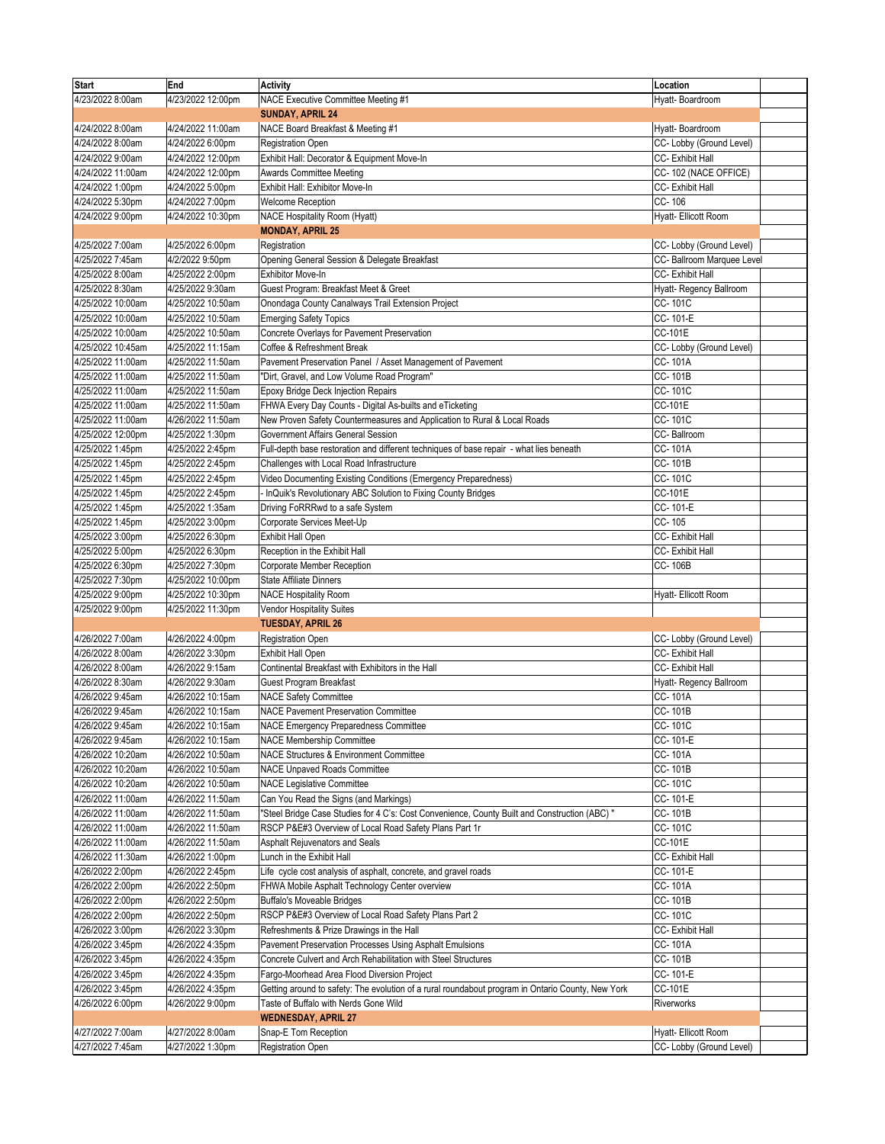| <b>Start</b>      | End               | <b>Activity</b>                                                                                   | Location                   |  |
|-------------------|-------------------|---------------------------------------------------------------------------------------------------|----------------------------|--|
| 4/23/2022 8:00am  | 4/23/2022 12:00pm | NACE Executive Committee Meeting #1                                                               | Hyatt- Boardroom           |  |
|                   |                   | <b>SUNDAY, APRIL 24</b>                                                                           |                            |  |
| 4/24/2022 8:00am  | 4/24/2022 11:00am | NACE Board Breakfast & Meeting #1                                                                 | Hyatt-Boardroom            |  |
| 4/24/2022 8:00am  | 4/24/2022 6:00pm  | <b>Registration Open</b>                                                                          | CC- Lobby (Ground Level)   |  |
| 4/24/2022 9:00am  | 4/24/2022 12:00pm | Exhibit Hall: Decorator & Equipment Move-In                                                       | CC- Exhibit Hall           |  |
| 4/24/2022 11:00am | 4/24/2022 12:00pm | <b>Awards Committee Meeting</b>                                                                   | CC-102 (NACE OFFICE)       |  |
| 4/24/2022 1:00pm  | 4/24/2022 5:00pm  | Exhibit Hall: Exhibitor Move-In                                                                   | CC- Exhibit Hall           |  |
| 4/24/2022 5:30pm  | 4/24/2022 7:00pm  | Welcome Reception                                                                                 | CC-106                     |  |
| 4/24/2022 9:00pm  | 4/24/2022 10:30pm | <b>NACE Hospitality Room (Hyatt)</b>                                                              | Hyatt- Ellicott Room       |  |
|                   |                   | <b>MONDAY, APRIL 25</b>                                                                           |                            |  |
| 4/25/2022 7:00am  | 4/25/2022 6:00pm  | Registration                                                                                      | CC- Lobby (Ground Level)   |  |
| 4/25/2022 7:45am  | 4/2/2022 9:50pm   | Opening General Session & Delegate Breakfast                                                      | CC- Ballroom Marquee Level |  |
| 4/25/2022 8:00am  | 4/25/2022 2:00pm  | Exhibitor Move-In                                                                                 | CC-Exhibit Hall            |  |
| 4/25/2022 8:30am  | 4/25/2022 9:30am  | Guest Program: Breakfast Meet & Greet                                                             | Hyatt- Regency Ballroom    |  |
| 4/25/2022 10:00am | 4/25/2022 10:50am | Onondaga County Canalways Trail Extension Project                                                 | CC-101C                    |  |
| 4/25/2022 10:00am | 4/25/2022 10:50am | <b>Emerging Safety Topics</b>                                                                     | CC-101-E                   |  |
| 4/25/2022 10:00am | 4/25/2022 10:50am | Concrete Overlays for Pavement Preservation                                                       | CC-101E                    |  |
| 4/25/2022 10:45am | 4/25/2022 11:15am | Coffee & Refreshment Break                                                                        | CC- Lobby (Ground Level)   |  |
| 4/25/2022 11:00am | 4/25/2022 11:50am | Pavement Preservation Panel / Asset Management of Pavement                                        | CC-101A                    |  |
| 4/25/2022 11:00am | 4/25/2022 11:50am | "Dirt, Gravel, and Low Volume Road Program"                                                       | CC-101B                    |  |
| 4/25/2022 11:00am | 4/25/2022 11:50am | <b>Epoxy Bridge Deck Injection Repairs</b>                                                        | CC-101C                    |  |
| 4/25/2022 11:00am | 4/25/2022 11:50am | FHWA Every Day Counts - Digital As-builts and eTicketing                                          | CC-101E                    |  |
| 4/25/2022 11:00am | 4/26/2022 11:50am | New Proven Safety Countermeasures and Application to Rural & Local Roads                          | CC-101C                    |  |
| 4/25/2022 12:00pm | 4/25/2022 1:30pm  | Government Affairs General Session                                                                | CC-Ballroom                |  |
| 4/25/2022 1:45pm  | 4/25/2022 2:45pm  | Full-depth base restoration and different techniques of base repair - what lies beneath           | CC-101A                    |  |
| 4/25/2022 1:45pm  | 4/25/2022 2:45pm  | Challenges with Local Road Infrastructure                                                         | CC-101B                    |  |
| 4/25/2022 1:45pm  | 4/25/2022 2:45pm  | Video Documenting Existing Conditions (Emergency Preparedness)                                    | CC-101C                    |  |
| 4/25/2022 1:45pm  | 4/25/2022 2:45pm  | InQuik's Revolutionary ABC Solution to Fixing County Bridges                                      | CC-101E                    |  |
| 4/25/2022 1:45pm  | 4/25/2022 1:35am  | Driving FoRRRwd to a safe System                                                                  | CC-101-E                   |  |
| 4/25/2022 1:45pm  | 4/25/2022 3:00pm  | Corporate Services Meet-Up                                                                        | CC-105                     |  |
| 4/25/2022 3:00pm  | 4/25/2022 6:30pm  | <b>Exhibit Hall Open</b>                                                                          | CC-Exhibit Hall            |  |
| 4/25/2022 5:00pm  | 4/25/2022 6:30pm  | Reception in the Exhibit Hall                                                                     | CC- Exhibit Hall           |  |
| 4/25/2022 6:30pm  | 4/25/2022 7:30pm  | Corporate Member Reception                                                                        | CC-106B                    |  |
| 4/25/2022 7:30pm  | 4/25/2022 10:00pm | <b>State Affiliate Dinners</b>                                                                    |                            |  |
| 4/25/2022 9:00pm  | 4/25/2022 10:30pm | <b>NACE Hospitality Room</b>                                                                      | Hyatt- Ellicott Room       |  |
| 4/25/2022 9:00pm  | 4/25/2022 11:30pm | Vendor Hospitality Suites                                                                         |                            |  |
|                   |                   | <b>TUESDAY, APRIL 26</b>                                                                          |                            |  |
| 4/26/2022 7:00am  | 4/26/2022 4:00pm  | <b>Registration Open</b>                                                                          | CC- Lobby (Ground Level)   |  |
| 4/26/2022 8:00am  | 4/26/2022 3:30pm  | <b>Exhibit Hall Open</b>                                                                          | CC- Exhibit Hall           |  |
| 4/26/2022 8:00am  | 4/26/2022 9:15am  | Continental Breakfast with Exhibitors in the Hall                                                 | CC- Exhibit Hall           |  |
| 4/26/2022 8:30am  | 4/26/2022 9:30am  | Guest Program Breakfast                                                                           | Hyatt- Regency Ballroom    |  |
| 4/26/2022 9:45am  | 4/26/2022 10:15am | <b>NACE Safety Committee</b>                                                                      | CC-101A                    |  |
| 4/26/2022 9:45am  | 4/26/2022 10:15am | <b>NACE Pavement Preservation Committee</b>                                                       | CC-101B                    |  |
| 4/26/2022 9:45am  | 4/26/2022 10:15am | NACE Emergency Preparedness Committee                                                             | CC-101C                    |  |
| 4/26/2022 9:45am  | 4/26/2022 10:15am | <b>NACE Membership Committee</b>                                                                  | CC-101-E                   |  |
| 4/26/2022 10:20am | 4/26/2022 10:50am | NACE Structures & Environment Committee                                                           | CC-101A                    |  |
| 4/26/2022 10:20am | 4/26/2022 10:50am | <b>NACE Unpaved Roads Committee</b>                                                               | CC-101B                    |  |
| 4/26/2022 10:20am | 4/26/2022 10:50am | NACE Legislative Committee                                                                        | CC-101C                    |  |
| 4/26/2022 11:00am | 4/26/2022 11:50am | Can You Read the Signs (and Markings)                                                             | CC-101-E                   |  |
| 4/26/2022 11:00am | 4/26/2022 11:50am | "Steel Bridge Case Studies for 4 C's: Cost Convenience, County Built and Construction (ABC) "     | CC-101B                    |  |
| 4/26/2022 11:00am | 4/26/2022 11:50am | RSCP P&E#3 Overview of Local Road Safety Plans Part 1r                                            | CC-101C                    |  |
| 4/26/2022 11:00am | 4/26/2022 11:50am | Asphalt Rejuvenators and Seals                                                                    | CC-101E                    |  |
| 4/26/2022 11:30am | 4/26/2022 1:00pm  | Lunch in the Exhibit Hall                                                                         | CC- Exhibit Hall           |  |
| 4/26/2022 2:00pm  | 4/26/2022 2:45pm  | Life cycle cost analysis of asphalt, concrete, and gravel roads                                   | CC-101-E                   |  |
| 4/26/2022 2:00pm  | 4/26/2022 2:50pm  | FHWA Mobile Asphalt Technology Center overview                                                    | CC-101A                    |  |
| 4/26/2022 2:00pm  | 4/26/2022 2:50pm  | <b>Buffalo's Moveable Bridges</b>                                                                 | CC-101B                    |  |
| 4/26/2022 2:00pm  | 4/26/2022 2:50pm  | RSCP P&E#3 Overview of Local Road Safety Plans Part 2                                             | CC-101C                    |  |
| 4/26/2022 3:00pm  | 4/26/2022 3:30pm  | Refreshments & Prize Drawings in the Hall                                                         | CC- Exhibit Hall           |  |
| 4/26/2022 3:45pm  | 4/26/2022 4:35pm  | Pavement Preservation Processes Using Asphalt Emulsions                                           | CC-101A                    |  |
| 4/26/2022 3:45pm  | 4/26/2022 4:35pm  | Concrete Culvert and Arch Rehabilitation with Steel Structures                                    | CC- 101B                   |  |
| 4/26/2022 3:45pm  | 4/26/2022 4:35pm  | Fargo-Moorhead Area Flood Diversion Project                                                       | CC-101-E                   |  |
| 4/26/2022 3:45pm  | 4/26/2022 4:35pm  | Getting around to safety: The evolution of a rural roundabout program in Ontario County, New York | CC-101E                    |  |
| 4/26/2022 6:00pm  | 4/26/2022 9:00pm  | Taste of Buffalo with Nerds Gone Wild                                                             | Riverworks                 |  |
|                   |                   | <b>WEDNESDAY, APRIL 27</b>                                                                        |                            |  |
| 4/27/2022 7:00am  | 4/27/2022 8:00am  | Snap-E Tom Reception                                                                              | Hyatt- Ellicott Room       |  |
| 4/27/2022 7:45am  | 4/27/2022 1:30pm  | <b>Registration Open</b>                                                                          | CC- Lobby (Ground Level)   |  |